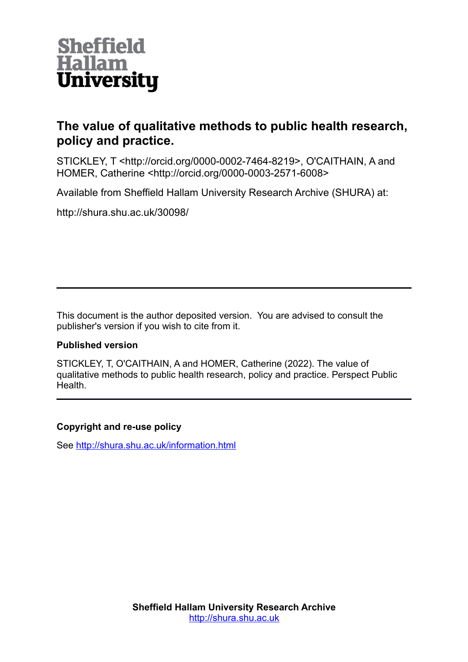

## **The value of qualitative methods to public health research, policy and practice.**

STICKLEY, T <http://orcid.org/0000-0002-7464-8219>, O'CAITHAIN, A and HOMER, Catherine <http://orcid.org/0000-0003-2571-6008>

Available from Sheffield Hallam University Research Archive (SHURA) at:

http://shura.shu.ac.uk/30098/

This document is the author deposited version. You are advised to consult the publisher's version if you wish to cite from it.

#### **Published version**

STICKLEY, T, O'CAITHAIN, A and HOMER, Catherine (2022). The value of qualitative methods to public health research, policy and practice. Perspect Public Health.

#### **Copyright and re-use policy**

See<http://shura.shu.ac.uk/information.html>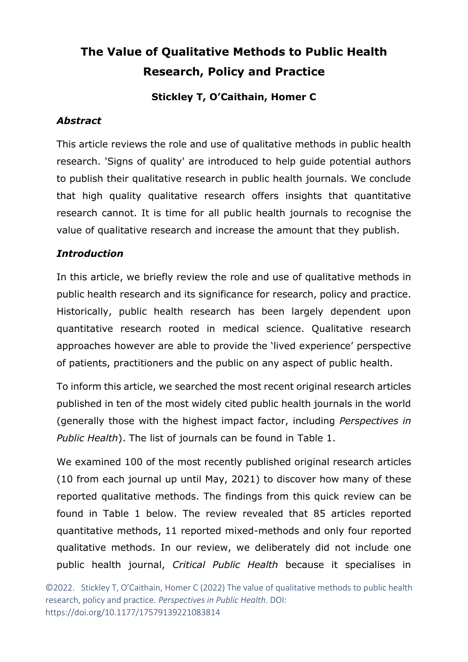# **The Value of Qualitative Methods to Public Health Research, Policy and Practice**

#### **Stickley T, O'Caithain, Homer C**

#### *Abstract*

This article reviews the role and use of qualitative methods in public health research. 'Signs of quality' are introduced to help guide potential authors to publish their qualitative research in public health journals. We conclude that high quality qualitative research offers insights that quantitative research cannot. It is time for all public health journals to recognise the value of qualitative research and increase the amount that they publish.

#### *Introduction*

In this article, we briefly review the role and use of qualitative methods in public health research and its significance for research, policy and practice. Historically, public health research has been largely dependent upon quantitative research rooted in medical science. Qualitative research approaches however are able to provide the 'lived experience' perspective of patients, practitioners and the public on any aspect of public health.

To inform this article, we searched the most recent original research articles published in ten of the most widely cited public health journals in the world (generally those with the highest impact factor, including *Perspectives in Public Health*). The list of journals can be found in Table 1.

We examined 100 of the most recently published original research articles (10 from each journal up until May, 2021) to discover how many of these reported qualitative methods. The findings from this quick review can be found in Table 1 below. The review revealed that 85 articles reported quantitative methods, 11 reported mixed-methods and only four reported qualitative methods. In our review, we deliberately did not include one public health journal, *Critical Public Health* because it specialises in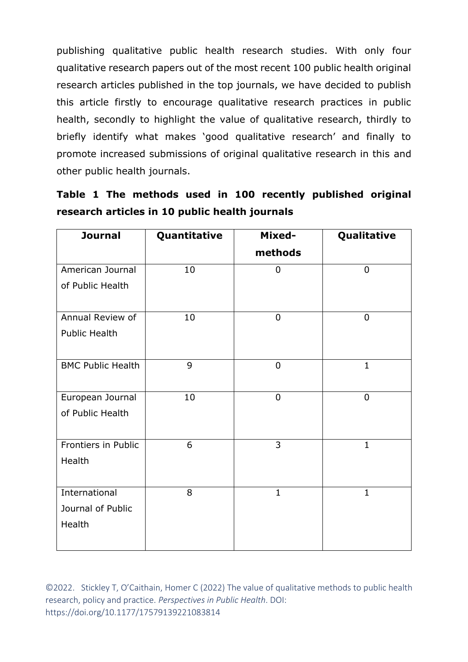publishing qualitative public health research studies. With only four qualitative research papers out of the most recent 100 public health original research articles published in the top journals, we have decided to publish this article firstly to encourage qualitative research practices in public health, secondly to highlight the value of qualitative research, thirdly to briefly identify what makes 'good qualitative research' and finally to promote increased submissions of original qualitative research in this and other public health journals.

|                                                |  |  |  |  |  |  |  | Table 1 The methods used in 100 recently published original |  |
|------------------------------------------------|--|--|--|--|--|--|--|-------------------------------------------------------------|--|
| research articles in 10 public health journals |  |  |  |  |  |  |  |                                                             |  |

| <b>Journal</b>           | Quantitative | Mixed-         | Qualitative    |
|--------------------------|--------------|----------------|----------------|
|                          |              | methods        |                |
| American Journal         | 10           | $\mathbf 0$    | $\overline{0}$ |
| of Public Health         |              |                |                |
|                          |              |                |                |
| Annual Review of         | 10           | $\overline{0}$ | $\overline{0}$ |
| <b>Public Health</b>     |              |                |                |
| <b>BMC Public Health</b> | 9            | $\overline{0}$ | $\mathbf{1}$   |
|                          |              |                |                |
| European Journal         | 10           | $\mathbf 0$    | $\mathbf 0$    |
|                          |              |                |                |
| of Public Health         |              |                |                |
| Frontiers in Public      | 6            | 3              | $\mathbf{1}$   |
|                          |              |                |                |
| Health                   |              |                |                |
|                          |              |                |                |
| International            | 8            | $\mathbf{1}$   | $\mathbf{1}$   |
| Journal of Public        |              |                |                |
| Health                   |              |                |                |
|                          |              |                |                |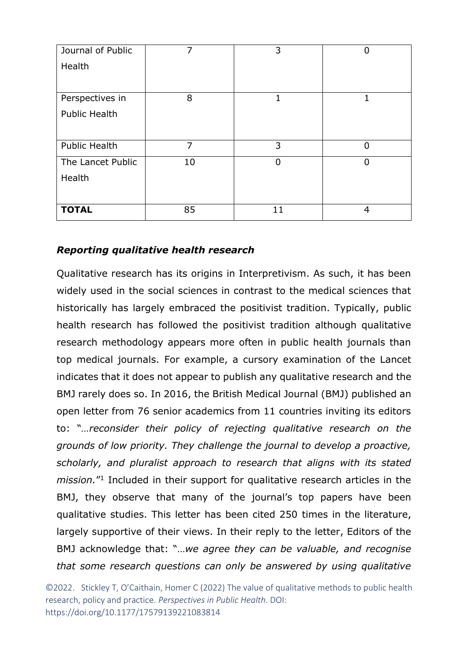| Journal of Public    | 7  | 3        | 0              |
|----------------------|----|----------|----------------|
| Health               |    |          |                |
|                      |    |          |                |
| Perspectives in      | 8  |          | 1              |
| <b>Public Health</b> |    |          |                |
|                      |    |          |                |
| <b>Public Health</b> | 7  | 3        | $\overline{0}$ |
| The Lancet Public    | 10 | $\Omega$ | $\Omega$       |
| Health               |    |          |                |
|                      |    |          |                |
| <b>TOTAL</b>         | 85 | 11       | 4              |

## *Reporting qualitative health research*

Qualitative research has its origins in Interpretivism. As such, it has been widely used in the social sciences in contrast to the medical sciences that historically has largely embraced the positivist tradition. Typically, public health research has followed the positivist tradition although qualitative research methodology appears more often in public health journals than top medical journals. For example, a cursory examination of the Lancet indicates that it does not appear to publish any qualitative research and the BMJ rarely does so. In 2016, the British Medical Journal (BMJ) published an open letter from 76 senior academics from 11 countries inviting its editors to: "*…reconsider their policy of rejecting qualitative research on the grounds of low priority. They challenge the journal to develop a proactive, scholarly, and pluralist approach to research that aligns with its stated*  mission.<sup>"1</sup> Included in their support for qualitative research articles in the BMJ, they observe that many of the journal's top papers have been qualitative studies. This letter has been cited 250 times in the literature, largely supportive of their views. In their reply to the letter, Editors of the BMJ acknowledge that: "…*we agree they can be valuable, and recognise that some research questions can only be answered by using qualitative*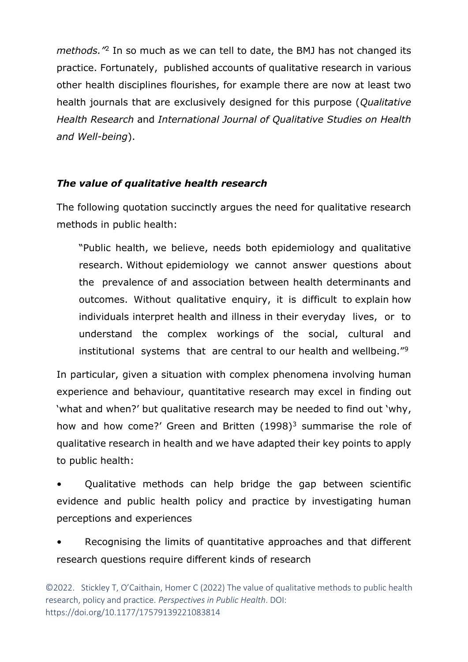methods.<sup>"2</sup> In so much as we can tell to date, the BMJ has not changed its practice. Fortunately, published accounts of qualitative research in various other health disciplines flourishes, for example there are now at least two health journals that are exclusively designed for this purpose (*Qualitative Health Research* and *[International Journal of Qualitative Studies on Health](https://www.tandfonline.com/zqhw20)  [and Well-being](https://www.tandfonline.com/zqhw20)*).

#### *The value of qualitative health research*

The following quotation succinctly argues the need for qualitative research methods in public health:

"Public health, we believe, needs both epidemiology and qualitative research. Without epidemiology we cannot answer questions about the prevalence of and association between health determinants and outcomes. Without qualitative enquiry, it is difficult to explain how individuals interpret health and illness in their everyday lives, or to understand the complex workings of the social, cultural and institutional systems that are central to our health and wellbeing."<sup>9</sup>

In particular, given a situation with complex phenomena involving human experience and behaviour, quantitative research may excel in finding out 'what and when?' but qualitative research may be needed to find out 'why, how and how come?' Green and Britten  $(1998)^3$  summarise the role of qualitative research in health and we have adapted their key points to apply to public health:

• Qualitative methods can help bridge the gap between scientific evidence and public health policy and practice by investigating human perceptions and experiences

Recognising the limits of quantitative approaches and that different research questions require different kinds of research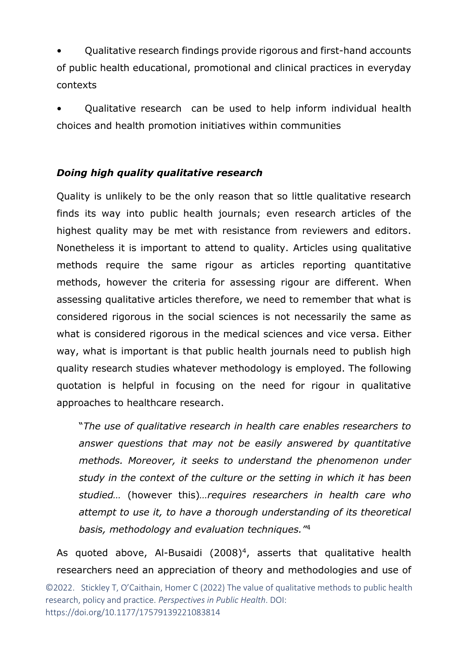• Qualitative research findings provide rigorous and first-hand accounts of public health educational, promotional and clinical practices in everyday contexts

• Qualitative research can be used to help inform individual health choices and health promotion initiatives within communities

## *Doing high quality qualitative research*

Quality is unlikely to be the only reason that so little qualitative research finds its way into public health journals; even research articles of the highest quality may be met with resistance from reviewers and editors. Nonetheless it is important to attend to quality. Articles using qualitative methods require the same rigour as articles reporting quantitative methods, however the criteria for assessing rigour are different. When assessing qualitative articles therefore, we need to remember that what is considered rigorous in the social sciences is not necessarily the same as what is considered rigorous in the medical sciences and vice versa. Either way, what is important is that public health journals need to publish high quality research studies whatever methodology is employed. The following quotation is helpful in focusing on the need for rigour in qualitative approaches to healthcare research.

"*The use of qualitative research in health care enables researchers to answer questions that may not be easily answered by quantitative methods. Moreover, it seeks to understand the phenomenon under study in the context of the culture or the setting in which it has been studied…* (however this)*…requires researchers in health care who attempt to use it, to have a thorough understanding of its theoretical basis, methodology and evaluation techniques."*<sup>4</sup>

As quoted above, Al-Busaidi  $(2008)^4$ , asserts that qualitative health researchers need an appreciation of theory and methodologies and use of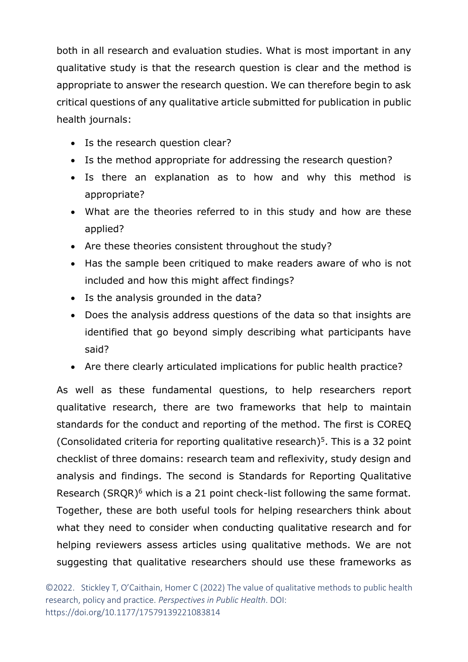both in all research and evaluation studies. What is most important in any qualitative study is that the research question is clear and the method is appropriate to answer the research question. We can therefore begin to ask critical questions of any qualitative article submitted for publication in public health journals:

- Is the research question clear?
- Is the method appropriate for addressing the research question?
- Is there an explanation as to how and why this method is appropriate?
- What are the theories referred to in this study and how are these applied?
- Are these theories consistent throughout the study?
- Has the sample been critiqued to make readers aware of who is not included and how this might affect findings?
- Is the analysis grounded in the data?
- Does the analysis address questions of the data so that insights are identified that go beyond simply describing what participants have said?
- Are there clearly articulated implications for public health practice?

As well as these fundamental questions, to help researchers report qualitative research, there are two frameworks that help to maintain standards for the conduct and reporting of the method. The first is COREQ (Consolidated criteria for reporting qualitative research) 5 . This is a 32 point checklist of three domains: research team and reflexivity, study design and analysis and findings. The second is Standards for Reporting Qualitative Research (SRQR)<sup>6</sup> which is a 21 point check-list following the same format. Together, these are both useful tools for helping researchers think about what they need to consider when conducting qualitative research and for helping reviewers assess articles using qualitative methods. We are not suggesting that qualitative researchers should use these frameworks as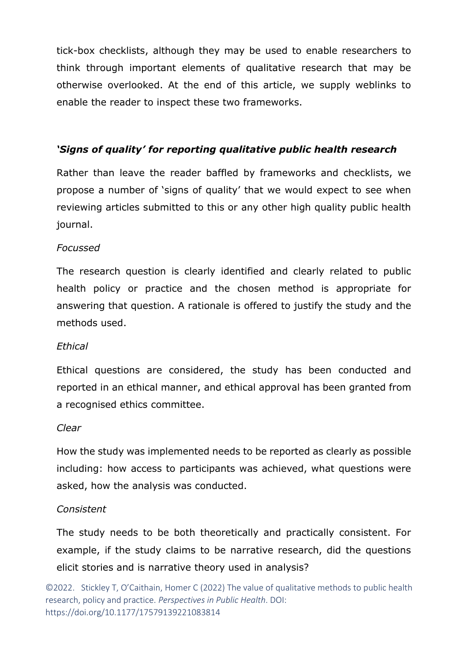tick-box checklists, although they may be used to enable researchers to think through important elements of qualitative research that may be otherwise overlooked. At the end of this article, we supply weblinks to enable the reader to inspect these two frameworks.

#### *'Signs of quality' for reporting qualitative public health research*

Rather than leave the reader baffled by frameworks and checklists, we propose a number of 'signs of quality' that we would expect to see when reviewing articles submitted to this or any other high quality public health journal.

#### *Focussed*

The research question is clearly identified and clearly related to public health policy or practice and the chosen method is appropriate for answering that question. A rationale is offered to justify the study and the methods used.

#### *Ethical*

Ethical questions are considered, the study has been conducted and reported in an ethical manner, and ethical approval has been granted from a recognised ethics committee.

#### *Clear*

How the study was implemented needs to be reported as clearly as possible including: how access to participants was achieved, what questions were asked, how the analysis was conducted.

#### *Consistent*

The study needs to be both theoretically and practically consistent. For example, if the study claims to be narrative research, did the questions elicit stories and is narrative theory used in analysis?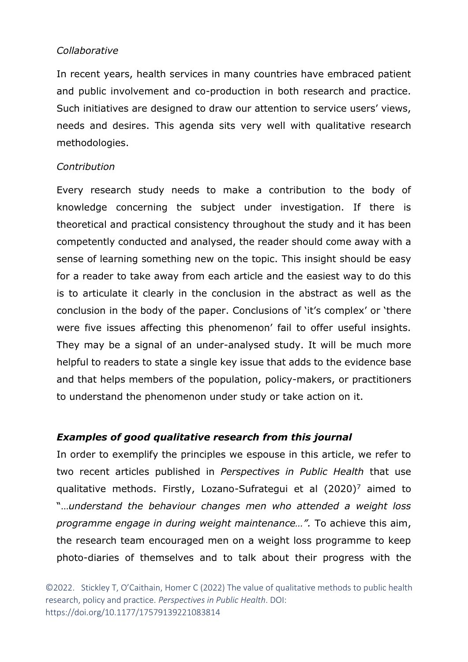#### *Collaborative*

In recent years, health services in many countries have embraced patient and public involvement and co-production in both research and practice. Such initiatives are designed to draw our attention to service users' views, needs and desires. This agenda sits very well with qualitative research methodologies.

#### *Contribution*

Every research study needs to make a contribution to the body of knowledge concerning the subject under investigation. If there is theoretical and practical consistency throughout the study and it has been competently conducted and analysed, the reader should come away with a sense of learning something new on the topic. This insight should be easy for a reader to take away from each article and the easiest way to do this is to articulate it clearly in the conclusion in the abstract as well as the conclusion in the body of the paper. Conclusions of 'it's complex' or 'there were five issues affecting this phenomenon' fail to offer useful insights. They may be a signal of an under-analysed study. It will be much more helpful to readers to state a single key issue that adds to the evidence base and that helps members of the population, policy-makers, or practitioners to understand the phenomenon under study or take action on it.

## *Examples of good qualitative research from this journal*

In order to exemplify the principles we espouse in this article, we refer to two recent articles published in *Perspectives in Public Health* that use qualitative methods. Firstly, Lozano-Sufrategui et al  $(2020)^7$  aimed to "…*understand the behaviour changes men who attended a weight loss programme engage in during weight maintenance…".* To achieve this aim, the research team encouraged men on a weight loss programme to keep photo-diaries of themselves and to talk about their progress with the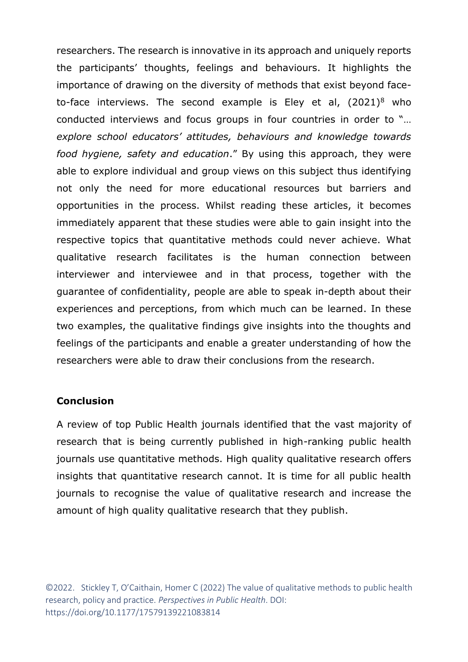researchers. The research is innovative in its approach and uniquely reports the participants' thoughts, feelings and behaviours. It highlights the importance of drawing on the diversity of methods that exist beyond faceto-face interviews. The second example is Eley et al,  $(2021)^8$  who conducted interviews and focus groups in four countries in order to "… *explore school educators' attitudes, behaviours and knowledge towards food hygiene, safety and education*." By using this approach, they were able to explore individual and group views on this subject thus identifying not only the need for more educational resources but barriers and opportunities in the process. Whilst reading these articles, it becomes immediately apparent that these studies were able to gain insight into the respective topics that quantitative methods could never achieve. What qualitative research facilitates is the human connection between interviewer and interviewee and in that process, together with the guarantee of confidentiality, people are able to speak in-depth about their experiences and perceptions, from which much can be learned. In these two examples, the qualitative findings give insights into the thoughts and feelings of the participants and enable a greater understanding of how the researchers were able to draw their conclusions from the research.

#### **Conclusion**

A review of top Public Health journals identified that the vast majority of research that is being currently published in high-ranking public health journals use quantitative methods. High quality qualitative research offers insights that quantitative research cannot. It is time for all public health journals to recognise the value of qualitative research and increase the amount of high quality qualitative research that they publish.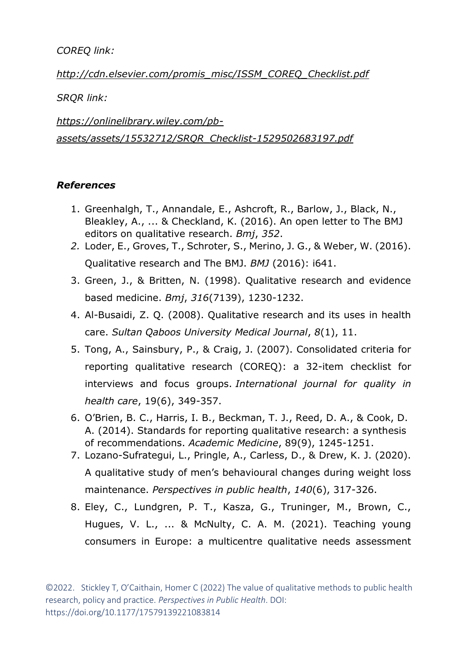*COREQ link:*

*[http://cdn.elsevier.com/promis\\_misc/ISSM\\_COREQ\\_Checklist.pdf](http://cdn.elsevier.com/promis_misc/ISSM_COREQ_Checklist.pdf)*

*SRQR link:*

*[https://onlinelibrary.wiley.com/pb](https://onlinelibrary.wiley.com/pb-assets/assets/15532712/SRQR_Checklist-1529502683197.pdf)[assets/assets/15532712/SRQR\\_Checklist-1529502683197.pdf](https://onlinelibrary.wiley.com/pb-assets/assets/15532712/SRQR_Checklist-1529502683197.pdf)*

## *References*

- 1. Greenhalgh, T., Annandale, E., Ashcroft, R., Barlow, J., Black, N., Bleakley, A., ... & Checkland, K. (2016). An open letter to The BMJ editors on qualitative research. *Bmj*, *352*.
- *2.* Loder, E., Groves, T., Schroter, S., Merino, J. G., & Weber, W. (2016). Qualitative research and The BMJ. *BMJ* (2016): i641.
- 3. Green, J., & Britten, N. (1998). Qualitative research and evidence based medicine. *Bmj*, *316*(7139), 1230-1232.
- 4. Al-Busaidi, Z. Q. (2008). Qualitative research and its uses in health care. *Sultan Qaboos University Medical Journal*, *8*(1), 11.
- 5. Tong, A., Sainsbury, P., & Craig, J. (2007). Consolidated criteria for reporting qualitative research (COREQ): a 32-item checklist for interviews and focus groups. *International journal for quality in health care*, 19(6), 349-357.
- 6. O'Brien, B. C., Harris, I. B., Beckman, T. J., Reed, D. A., & Cook, D. A. (2014). Standards for reporting qualitative research: a synthesis of recommendations. *Academic Medicine*, 89(9), 1245-1251.
- 7. Lozano-Sufrategui, L., Pringle, A., Carless, D., & Drew, K. J. (2020). A qualitative study of men's behavioural changes during weight loss maintenance. *Perspectives in public health*, *140*(6), 317-326.
- 8. Eley, C., Lundgren, P. T., Kasza, G., Truninger, M., Brown, C., Hugues, V. L., ... & McNulty, C. A. M. (2021). Teaching young consumers in Europe: a multicentre qualitative needs assessment